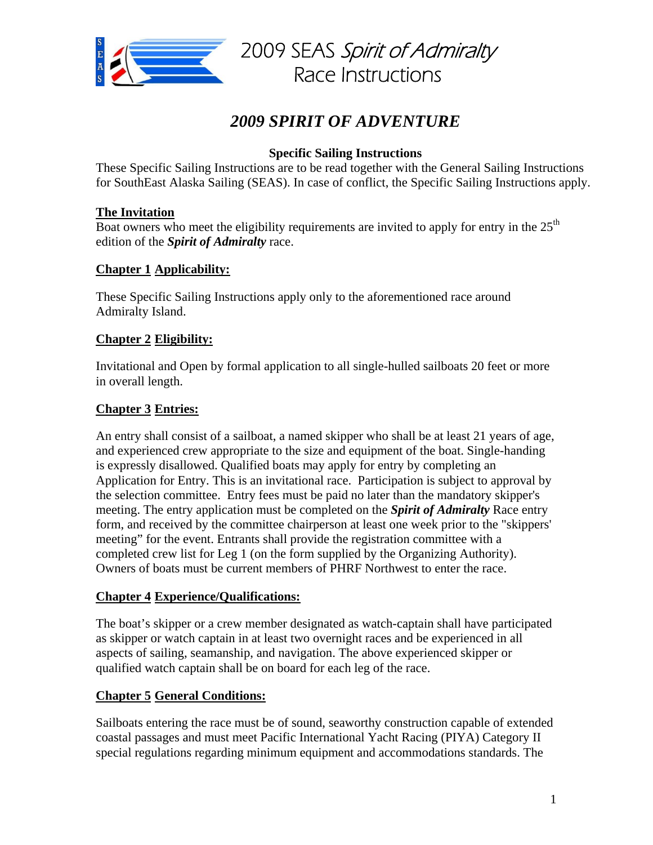

# *2009 SPIRIT OF ADVENTURE*

# **Specific Sailing Instructions**

These Specific Sailing Instructions are to be read together with the General Sailing Instructions for SouthEast Alaska Sailing (SEAS). In case of conflict, the Specific Sailing Instructions apply.

## **The Invitation**

Boat owners who meet the eligibility requirements are invited to apply for entry in the  $25<sup>th</sup>$ edition of the *Spirit of Admiralty* race.

## **Chapter 1 Applicability:**

These Specific Sailing Instructions apply only to the aforementioned race around Admiralty Island.

## **Chapter 2 Eligibility:**

Invitational and Open by formal application to all single-hulled sailboats 20 feet or more in overall length.

## **Chapter 3 Entries:**

An entry shall consist of a sailboat, a named skipper who shall be at least 21 years of age, and experienced crew appropriate to the size and equipment of the boat. Single-handing is expressly disallowed. Qualified boats may apply for entry by completing an Application for Entry. This is an invitational race. Participation is subject to approval by the selection committee. Entry fees must be paid no later than the mandatory skipper's meeting. The entry application must be completed on the *Spirit of Admiralty* Race entry form, and received by the committee chairperson at least one week prior to the "skippers' meeting" for the event. Entrants shall provide the registration committee with a completed crew list for Leg 1 (on the form supplied by the Organizing Authority). Owners of boats must be current members of PHRF Northwest to enter the race.

## **Chapter 4 Experience/Qualifications:**

The boat's skipper or a crew member designated as watch-captain shall have participated as skipper or watch captain in at least two overnight races and be experienced in all aspects of sailing, seamanship, and navigation. The above experienced skipper or qualified watch captain shall be on board for each leg of the race.

## **Chapter 5 General Conditions:**

Sailboats entering the race must be of sound, seaworthy construction capable of extended coastal passages and must meet Pacific International Yacht Racing (PIYA) Category II special regulations regarding minimum equipment and accommodations standards. The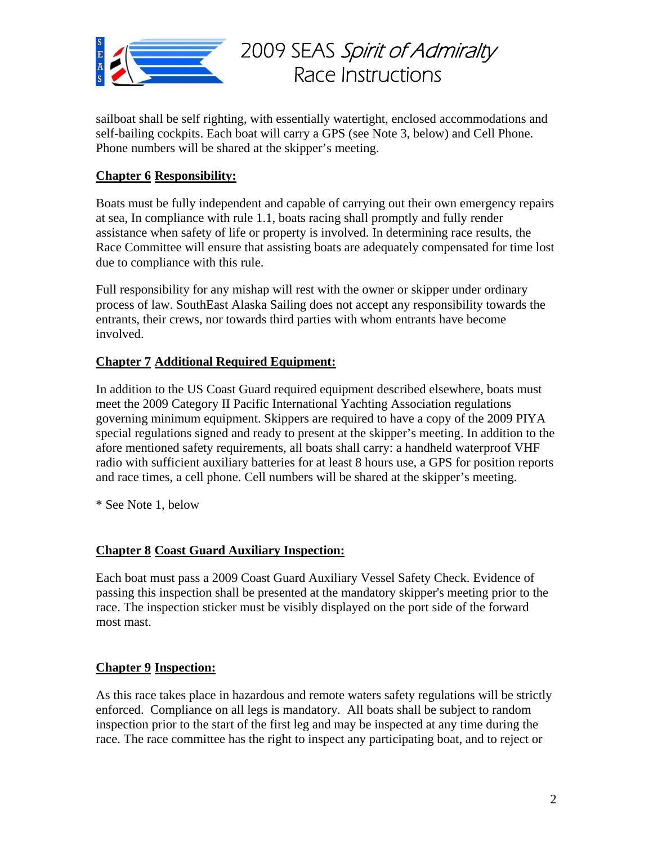

sailboat shall be self righting, with essentially watertight, enclosed accommodations and self-bailing cockpits. Each boat will carry a GPS (see Note 3, below) and Cell Phone. Phone numbers will be shared at the skipper's meeting.

# **Chapter 6 Responsibility:**

Boats must be fully independent and capable of carrying out their own emergency repairs at sea, In compliance with rule 1.1, boats racing shall promptly and fully render assistance when safety of life or property is involved. In determining race results, the Race Committee will ensure that assisting boats are adequately compensated for time lost due to compliance with this rule.

Full responsibility for any mishap will rest with the owner or skipper under ordinary process of law. SouthEast Alaska Sailing does not accept any responsibility towards the entrants, their crews, nor towards third parties with whom entrants have become involved.

## **Chapter 7 Additional Required Equipment:**

In addition to the US Coast Guard required equipment described elsewhere, boats must meet the 2009 Category II Pacific International Yachting Association regulations governing minimum equipment. Skippers are required to have a copy of the 2009 PIYA special regulations signed and ready to present at the skipper's meeting. In addition to the afore mentioned safety requirements, all boats shall carry: a handheld waterproof VHF radio with sufficient auxiliary batteries for at least 8 hours use, a GPS for position reports and race times, a cell phone. Cell numbers will be shared at the skipper's meeting.

\* See Note 1, below

## **Chapter 8 Coast Guard Auxiliary Inspection:**

Each boat must pass a 2009 Coast Guard Auxiliary Vessel Safety Check. Evidence of passing this inspection shall be presented at the mandatory skipper's meeting prior to the race. The inspection sticker must be visibly displayed on the port side of the forward most mast.

## **Chapter 9 Inspection:**

As this race takes place in hazardous and remote waters safety regulations will be strictly enforced. Compliance on all legs is mandatory*.* All boats shall be subject to random inspection prior to the start of the first leg and may be inspected at any time during the race. The race committee has the right to inspect any participating boat, and to reject or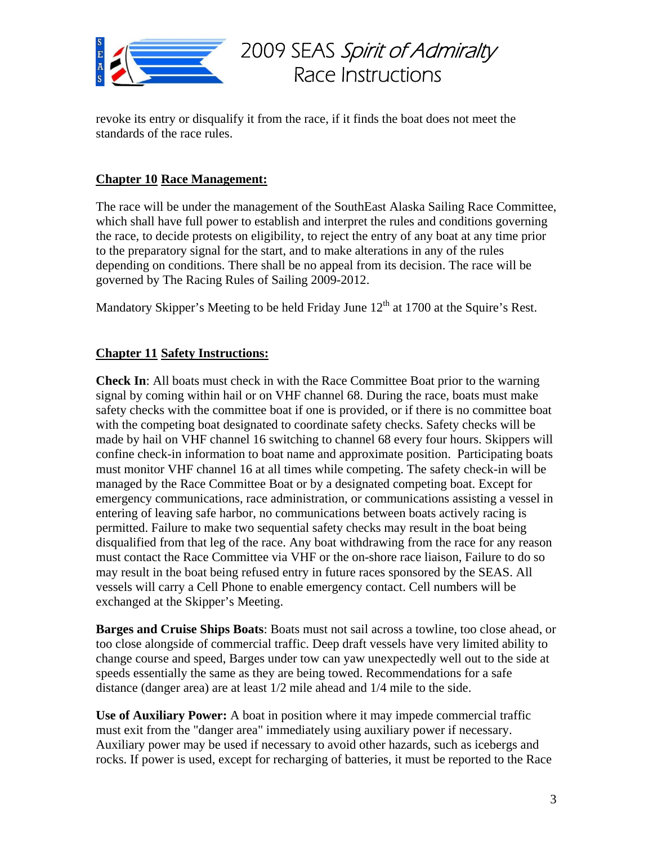

revoke its entry or disqualify it from the race, if it finds the boat does not meet the standards of the race rules.

## **Chapter 10 Race Management:**

The race will be under the management of the SouthEast Alaska Sailing Race Committee, which shall have full power to establish and interpret the rules and conditions governing the race, to decide protests on eligibility, to reject the entry of any boat at any time prior to the preparatory signal for the start, and to make alterations in any of the rules depending on conditions. There shall be no appeal from its decision. The race will be governed by The Racing Rules of Sailing 2009-2012.

Mandatory Skipper's Meeting to be held Friday June  $12<sup>th</sup>$  at 1700 at the Squire's Rest.

#### **Chapter 11 Safety Instructions:**

**Check In**: All boats must check in with the Race Committee Boat prior to the warning signal by coming within hail or on VHF channel 68. During the race, boats must make safety checks with the committee boat if one is provided, or if there is no committee boat with the competing boat designated to coordinate safety checks. Safety checks will be made by hail on VHF channel 16 switching to channel 68 every four hours. Skippers will confine check-in information to boat name and approximate position. Participating boats must monitor VHF channel 16 at all times while competing. The safety check-in will be managed by the Race Committee Boat or by a designated competing boat. Except for emergency communications, race administration, or communications assisting a vessel in entering of leaving safe harbor, no communications between boats actively racing is permitted. Failure to make two sequential safety checks may result in the boat being disqualified from that leg of the race. Any boat withdrawing from the race for any reason must contact the Race Committee via VHF or the on-shore race liaison, Failure to do so may result in the boat being refused entry in future races sponsored by the SEAS. All vessels will carry a Cell Phone to enable emergency contact. Cell numbers will be exchanged at the Skipper's Meeting.

**Barges and Cruise Ships Boats**: Boats must not sail across a towline, too close ahead, or too close alongside of commercial traffic. Deep draft vessels have very limited ability to change course and speed, Barges under tow can yaw unexpectedly well out to the side at speeds essentially the same as they are being towed. Recommendations for a safe distance (danger area) are at least 1/2 mile ahead and 1/4 mile to the side.

**Use of Auxiliary Power:** A boat in position where it may impede commercial traffic must exit from the "danger area" immediately using auxiliary power if necessary. Auxiliary power may be used if necessary to avoid other hazards, such as icebergs and rocks. If power is used, except for recharging of batteries, it must be reported to the Race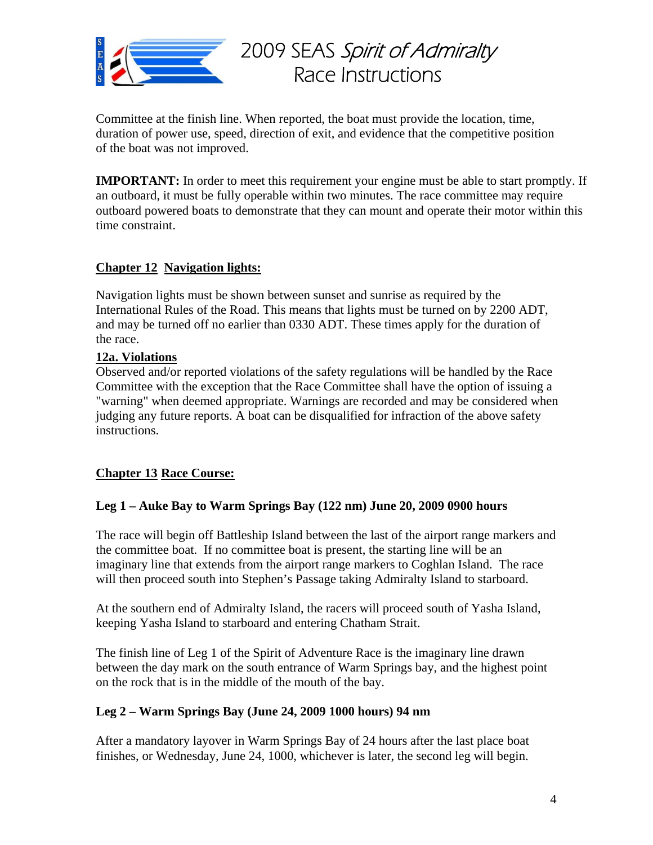

Committee at the finish line. When reported, the boat must provide the location, time, duration of power use, speed, direction of exit, and evidence that the competitive position of the boat was not improved.

**IMPORTANT:** In order to meet this requirement your engine must be able to start promptly. If an outboard, it must be fully operable within two minutes. The race committee may require outboard powered boats to demonstrate that they can mount and operate their motor within this time constraint.

## **Chapter 12 Navigation lights:**

Navigation lights must be shown between sunset and sunrise as required by the International Rules of the Road. This means that lights must be turned on by 2200 ADT, and may be turned off no earlier than 0330 ADT. These times apply for the duration of the race.

## **12a. Violations**

Observed and/or reported violations of the safety regulations will be handled by the Race Committee with the exception that the Race Committee shall have the option of issuing a "warning" when deemed appropriate. Warnings are recorded and may be considered when judging any future reports. A boat can be disqualified for infraction of the above safety instructions.

## **Chapter 13 Race Course:**

## **Leg 1 – Auke Bay to Warm Springs Bay (122 nm) June 20, 2009 0900 hours**

The race will begin off Battleship Island between the last of the airport range markers and the committee boat. If no committee boat is present, the starting line will be an imaginary line that extends from the airport range markers to Coghlan Island. The race will then proceed south into Stephen's Passage taking Admiralty Island to starboard.

At the southern end of Admiralty Island, the racers will proceed south of Yasha Island, keeping Yasha Island to starboard and entering Chatham Strait.

The finish line of Leg 1 of the Spirit of Adventure Race is the imaginary line drawn between the day mark on the south entrance of Warm Springs bay, and the highest point on the rock that is in the middle of the mouth of the bay.

## **Leg 2 – Warm Springs Bay (June 24, 2009 1000 hours) 94 nm**

After a mandatory layover in Warm Springs Bay of 24 hours after the last place boat finishes, or Wednesday, June 24, 1000, whichever is later, the second leg will begin.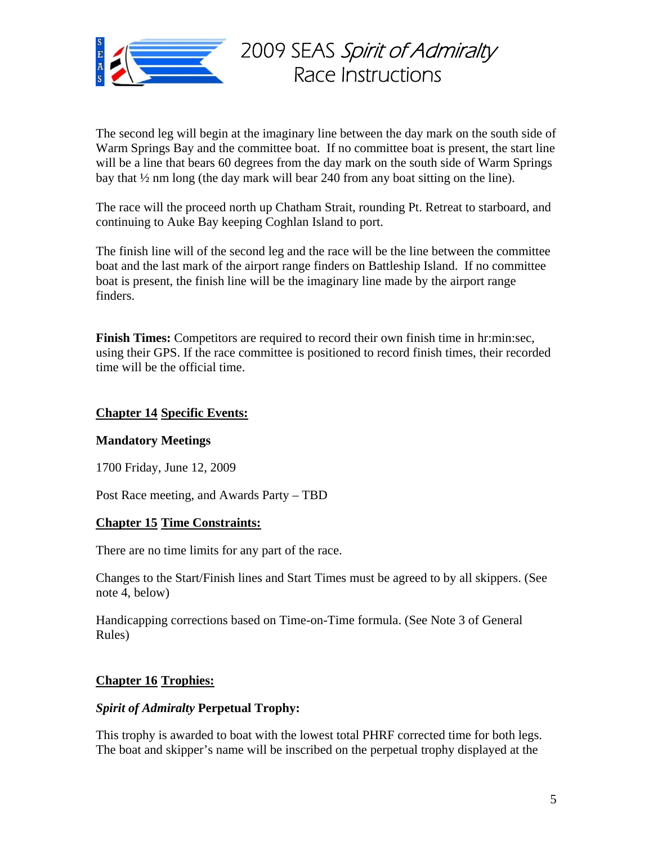

The second leg will begin at the imaginary line between the day mark on the south side of Warm Springs Bay and the committee boat. If no committee boat is present, the start line will be a line that bears 60 degrees from the day mark on the south side of Warm Springs bay that  $\frac{1}{2}$  nm long (the day mark will bear 240 from any boat sitting on the line).

The race will the proceed north up Chatham Strait, rounding Pt. Retreat to starboard, and continuing to Auke Bay keeping Coghlan Island to port.

The finish line will of the second leg and the race will be the line between the committee boat and the last mark of the airport range finders on Battleship Island. If no committee boat is present, the finish line will be the imaginary line made by the airport range finders.

**Finish Times:** Competitors are required to record their own finish time in hr:min:sec, using their GPS. If the race committee is positioned to record finish times, their recorded time will be the official time.

#### **Chapter 14 Specific Events:**

## **Mandatory Meetings**

1700 Friday, June 12, 2009

Post Race meeting, and Awards Party – TBD

#### **Chapter 15 Time Constraints:**

There are no time limits for any part of the race.

Changes to the Start/Finish lines and Start Times must be agreed to by all skippers. (See note 4, below)

Handicapping corrections based on Time-on-Time formula. (See Note 3 of General Rules)

## **Chapter 16 Trophies:**

#### *Spirit of Admiralty* **Perpetual Trophy:**

This trophy is awarded to boat with the lowest total PHRF corrected time for both legs. The boat and skipper's name will be inscribed on the perpetual trophy displayed at the